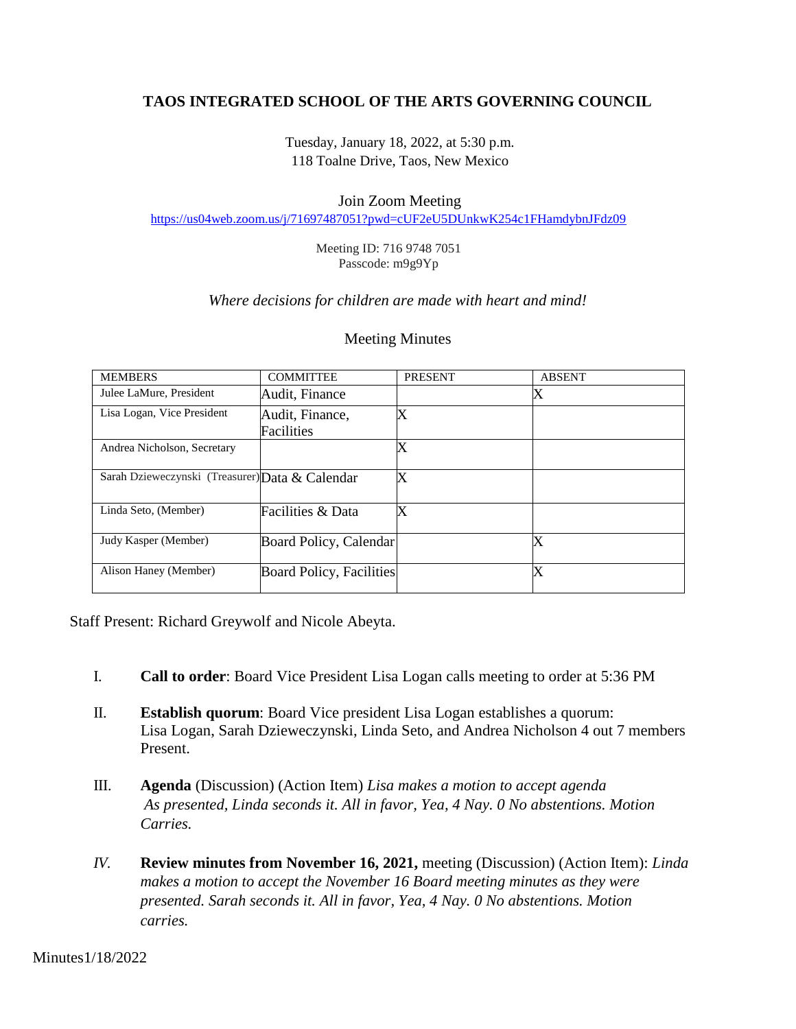# **TAOS INTEGRATED SCHOOL OF THE ARTS GOVERNING COUNCIL**

Tuesday, January 18, 2022, at 5:30 p.m. 118 Toalne Drive, Taos, New Mexico

#### Join Zoom Meeting

<https://us04web.zoom.us/j/71697487051?pwd=cUF2eU5DUnkwK254c1FHamdybnJFdz09>

Meeting ID: 716 9748 7051 Passcode: m9g9Yp

#### *Where decisions for children are made with heart and mind!*

#### Meeting Minutes

| <b>MEMBERS</b>                                  | <b>COMMITTEE</b>         | <b>PRESENT</b>            | <b>ABSENT</b>     |
|-------------------------------------------------|--------------------------|---------------------------|-------------------|
| Julee LaMure, President                         | Audit, Finance           |                           | $\rm\overline{X}$ |
| Lisa Logan, Vice President                      | Audit, Finance,          | Х                         |                   |
|                                                 | Facilities               |                           |                   |
| Andrea Nicholson, Secretary                     |                          | $\boldsymbol{\mathrm{X}}$ |                   |
| Sarah Dzieweczynski (Treasurer) Data & Calendar |                          | Х                         |                   |
| Linda Seto, (Member)                            | Facilities & Data        | X                         |                   |
| Judy Kasper (Member)                            | Board Policy, Calendar   |                           | X                 |
| Alison Haney (Member)                           | Board Policy, Facilities |                           | $\rm\overline{X}$ |

Staff Present: Richard Greywolf and Nicole Abeyta.

- I. **Call to order**: Board Vice President Lisa Logan calls meeting to order at 5:36 PM
- II. **Establish quorum**: Board Vice president Lisa Logan establishes a quorum: Lisa Logan, Sarah Dzieweczynski, Linda Seto, and Andrea Nicholson 4 out 7 members Present.
- III. **Agenda** (Discussion) (Action Item) *Lisa makes a motion to accept agenda As presented, Linda seconds it. All in favor, Yea, 4 Nay. 0 No abstentions. Motion Carries.*
- *IV.* **Review minutes from November 16, 2021,** meeting (Discussion) (Action Item): *Linda makes a motion to accept the November 16 Board meeting minutes as they were presented. Sarah seconds it. All in favor, Yea, 4 Nay. 0 No abstentions. Motion carries.*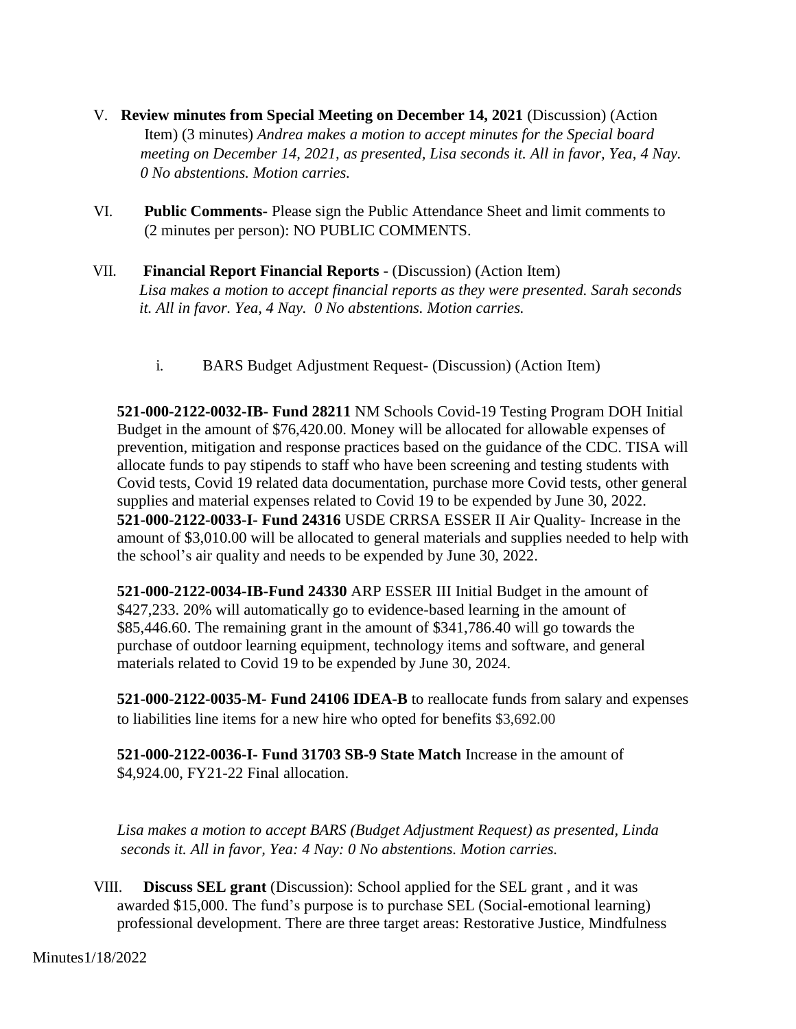- V. **Review minutes from Special Meeting on December 14, 2021** (Discussion) (Action Item) (3 minutes) *Andrea makes a motion to accept minutes for the Special board meeting on December 14, 2021, as presented, Lisa seconds it. All in favor, Yea, 4 Nay. 0 No abstentions. Motion carries.*
- VI. **Public Comments-** Please sign the Public Attendance Sheet and limit comments to (2 minutes per person): NO PUBLIC COMMENTS.
- VII. **Financial Report Financial Reports -** (Discussion) (Action Item) *Lisa makes a motion to accept financial reports as they were presented. Sarah seconds it. All in favor. Yea, 4 Nay. 0 No abstentions. Motion carries.*
	- i. BARS Budget Adjustment Request- (Discussion) (Action Item)

**521-000-2122-0032-IB- Fund 28211** NM Schools Covid-19 Testing Program DOH Initial Budget in the amount of \$76,420.00. Money will be allocated for allowable expenses of prevention, mitigation and response practices based on the guidance of the CDC. TISA will allocate funds to pay stipends to staff who have been screening and testing students with Covid tests, Covid 19 related data documentation, purchase more Covid tests, other general supplies and material expenses related to Covid 19 to be expended by June 30, 2022. **521-000-2122-0033-I- Fund 24316** USDE CRRSA ESSER II Air Quality- Increase in the amount of \$3,010.00 will be allocated to general materials and supplies needed to help with the school's air quality and needs to be expended by June 30, 2022.

**521-000-2122-0034-IB-Fund 24330** ARP ESSER III Initial Budget in the amount of \$427,233. 20% will automatically go to evidence-based learning in the amount of \$85,446.60. The remaining grant in the amount of \$341,786.40 will go towards the purchase of outdoor learning equipment, technology items and software, and general materials related to Covid 19 to be expended by June 30, 2024.

**521-000-2122-0035-M- Fund 24106 IDEA-B** to reallocate funds from salary and expenses to liabilities line items for a new hire who opted for benefits \$3,692.00

**521-000-2122-0036-I- Fund 31703 SB-9 State Match** Increase in the amount of \$4,924.00, FY21-22 Final allocation.

 *Lisa makes a motion to accept BARS (Budget Adjustment Request) as presented, Linda seconds it. All in favor, Yea: 4 Nay: 0 No abstentions. Motion carries.*

VIII. **Discuss SEL grant** (Discussion): School applied for the SEL grant , and it was awarded \$15,000. The fund's purpose is to purchase SEL (Social-emotional learning) professional development. There are three target areas: Restorative Justice, Mindfulness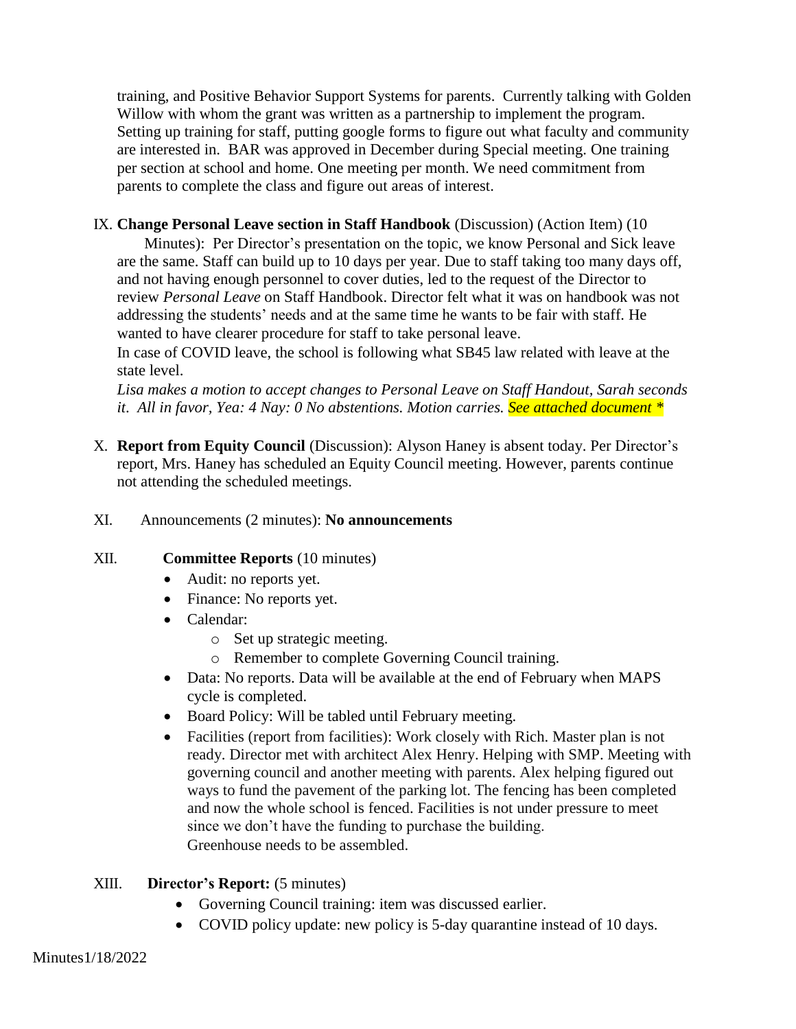training, and Positive Behavior Support Systems for parents. Currently talking with Golden Willow with whom the grant was written as a partnership to implement the program. Setting up training for staff, putting google forms to figure out what faculty and community are interested in. BAR was approved in December during Special meeting. One training per section at school and home. One meeting per month. We need commitment from parents to complete the class and figure out areas of interest.

# IX. **Change Personal Leave section in Staff Handbook** (Discussion) (Action Item) (10

 Minutes): Per Director's presentation on the topic, we know Personal and Sick leave are the same. Staff can build up to 10 days per year. Due to staff taking too many days off, and not having enough personnel to cover duties, led to the request of the Director to review *Personal Leave* on Staff Handbook. Director felt what it was on handbook was not addressing the students' needs and at the same time he wants to be fair with staff. He wanted to have clearer procedure for staff to take personal leave.

In case of COVID leave, the school is following what SB45 law related with leave at the state level.

*Lisa makes a motion to accept changes to Personal Leave on Staff Handout, Sarah seconds it*. *All in favor, Yea: 4 Nay: 0 No abstentions. Motion carries. See attached document \**

X. **Report from Equity Council** (Discussion): Alyson Haney is absent today. Per Director's report, Mrs. Haney has scheduled an Equity Council meeting. However, parents continue not attending the scheduled meetings.

# XI. Announcements (2 minutes): **No announcements**

# XII. **Committee Reports** (10 minutes)

- Audit: no reports yet.
- Finance: No reports yet.
- Calendar:
	- o Set up strategic meeting.
	- o Remember to complete Governing Council training.
- Data: No reports. Data will be available at the end of February when MAPS cycle is completed.
- Board Policy: Will be tabled until February meeting.
- Facilities (report from facilities): Work closely with Rich. Master plan is not ready. Director met with architect Alex Henry. Helping with SMP. Meeting with governing council and another meeting with parents. Alex helping figured out ways to fund the pavement of the parking lot. The fencing has been completed and now the whole school is fenced. Facilities is not under pressure to meet since we don't have the funding to purchase the building. Greenhouse needs to be assembled.

# XIII. **Director's Report:** (5 minutes)

- Governing Council training: item was discussed earlier.
- COVID policy update: new policy is 5-day quarantine instead of 10 days.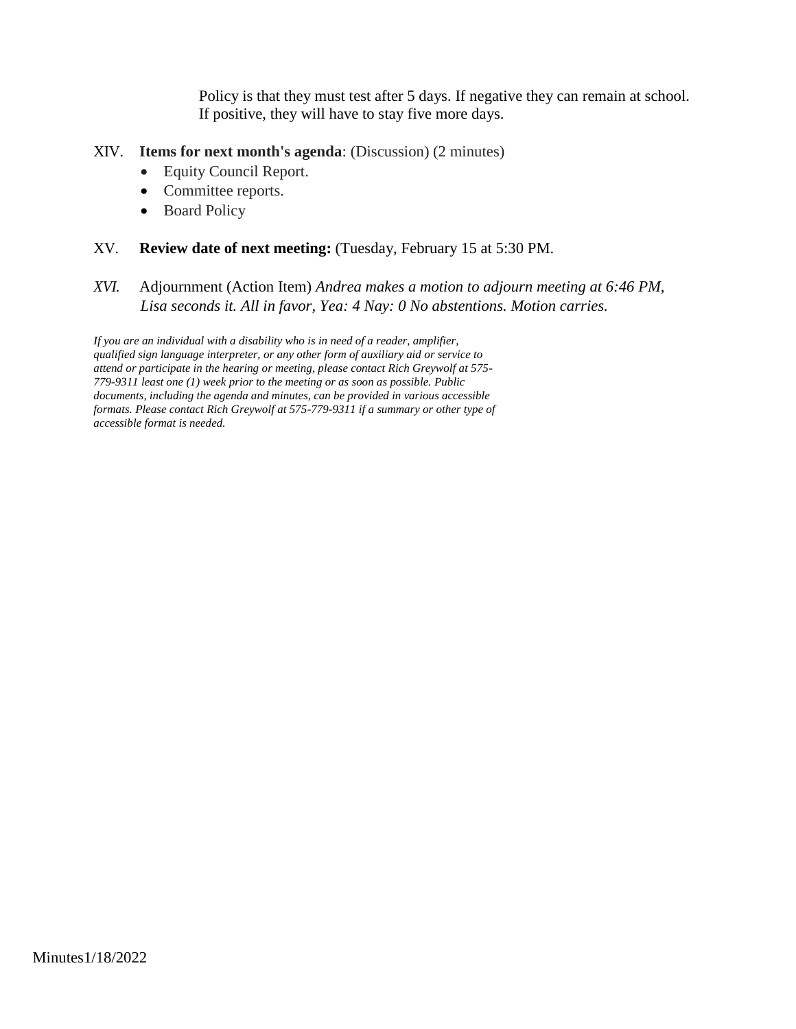Policy is that they must test after 5 days. If negative they can remain at school. If positive, they will have to stay five more days.

#### XIV. **Items for next month's agenda**: (Discussion) (2 minutes)

- Equity Council Report.
- Committee reports.
- Board Policy

#### XV. **Review date of next meeting:** (Tuesday, February 15 at 5:30 PM.

*XVI.* Adjournment (Action Item) *Andrea makes a motion to adjourn meeting at 6:46 PM, Lisa seconds it. All in favor, Yea: 4 Nay: 0 No abstentions. Motion carries.*

*If you are an individual with a disability who is in need of a reader, amplifier, qualified sign language interpreter, or any other form of auxiliary aid or service to attend or participate in the hearing or meeting, please contact Rich Greywolf at 575- 779-9311 least one (1) week prior to the meeting or as soon as possible. Public documents, including the agenda and minutes, can be provided in various accessible formats. Please contact Rich Greywolf at 575-779-9311 if a summary or other type of accessible format is needed.*